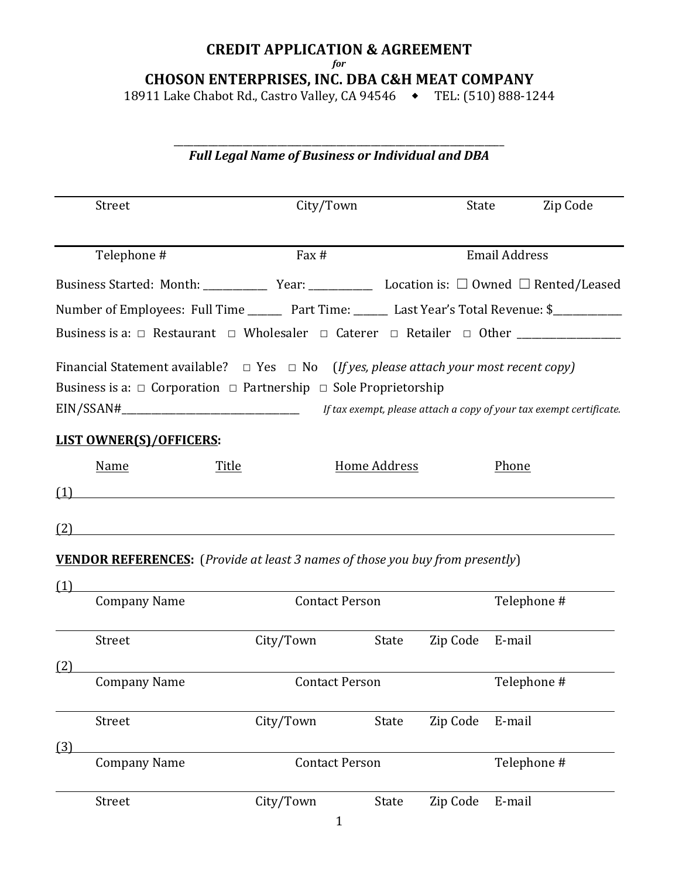# **CREDIT APPLICATION & AGREEMENT**

*for*

**CHOSON ENTERPRISES, INC. DBA C&H MEAT COMPANY**

18911 Lake Chabot Rd., Castro Valley, CA 94546  $\rightarrow$  TEL: (510) 888-1244

# \_\_\_\_\_\_\_\_\_\_\_\_\_\_\_\_\_\_\_\_\_\_\_\_\_\_\_\_\_\_\_\_\_\_\_\_\_\_\_\_\_\_\_\_\_\_\_\_\_\_\_\_\_\_\_\_\_\_\_\_\_\_\_\_\_\_\_ *Full Legal Name of Business or Individual and DBA*

| Street                                                                                                                                                                               | City/Town                                                                                                            |                                                                     | State    |                      | Zip Code |
|--------------------------------------------------------------------------------------------------------------------------------------------------------------------------------------|----------------------------------------------------------------------------------------------------------------------|---------------------------------------------------------------------|----------|----------------------|----------|
| Telephone #                                                                                                                                                                          | Fax #                                                                                                                |                                                                     |          | <b>Email Address</b> |          |
| Business Started: Month: _______________ Year: _______________________ Location is: □ Owned □ Rented/Leased                                                                          |                                                                                                                      |                                                                     |          |                      |          |
| Number of Employees: Full Time ________ Part Time: _______ Last Year's Total Revenue: \$____________                                                                                 |                                                                                                                      |                                                                     |          |                      |          |
| Business is a: □ Restaurant □ Wholesaler □ Caterer □ Retailer □ Other ___________                                                                                                    |                                                                                                                      |                                                                     |          |                      |          |
| Financial Statement available? $\Box$ Yes $\Box$ No (If yes, please attach your most recent copy)<br>Business is a: $\Box$ Corporation $\Box$ Partnership $\Box$ Sole Proprietorship |                                                                                                                      | If tax exempt, please attach a copy of your tax exempt certificate. |          |                      |          |
| <b>LIST OWNER(S)/OFFICERS:</b>                                                                                                                                                       |                                                                                                                      |                                                                     |          |                      |          |
| <b>Name</b>                                                                                                                                                                          | <b>Title</b>                                                                                                         | <b>Home Address</b>                                                 |          | Phone                |          |
| (1)                                                                                                                                                                                  | <u> 1980 - John Stein, marking and de Britain and de Britain and de Britain and de Britain and de Britain and de</u> |                                                                     |          |                      |          |
| (2)                                                                                                                                                                                  |                                                                                                                      |                                                                     |          |                      |          |
| <b>VENDOR REFERENCES:</b> (Provide at least 3 names of those you buy from presently)                                                                                                 |                                                                                                                      |                                                                     |          |                      |          |
| (1)                                                                                                                                                                                  |                                                                                                                      |                                                                     |          |                      |          |
| <b>Company Name</b>                                                                                                                                                                  | <b>Contact Person</b>                                                                                                |                                                                     |          | Telephone #          |          |
| Street<br>(2)                                                                                                                                                                        | City/Town                                                                                                            | State                                                               | Zip Code | E-mail               |          |
| <b>Company Name</b>                                                                                                                                                                  | <b>Contact Person</b>                                                                                                |                                                                     |          | Telephone #          |          |
| Street                                                                                                                                                                               | City/Town                                                                                                            | <b>State</b>                                                        | Zip Code | E-mail               |          |
| (3)<br><b>Company Name</b>                                                                                                                                                           | <b>Contact Person</b>                                                                                                |                                                                     |          | Telephone #          |          |
| Street                                                                                                                                                                               | City/Town                                                                                                            | State                                                               | Zip Code | E-mail               |          |